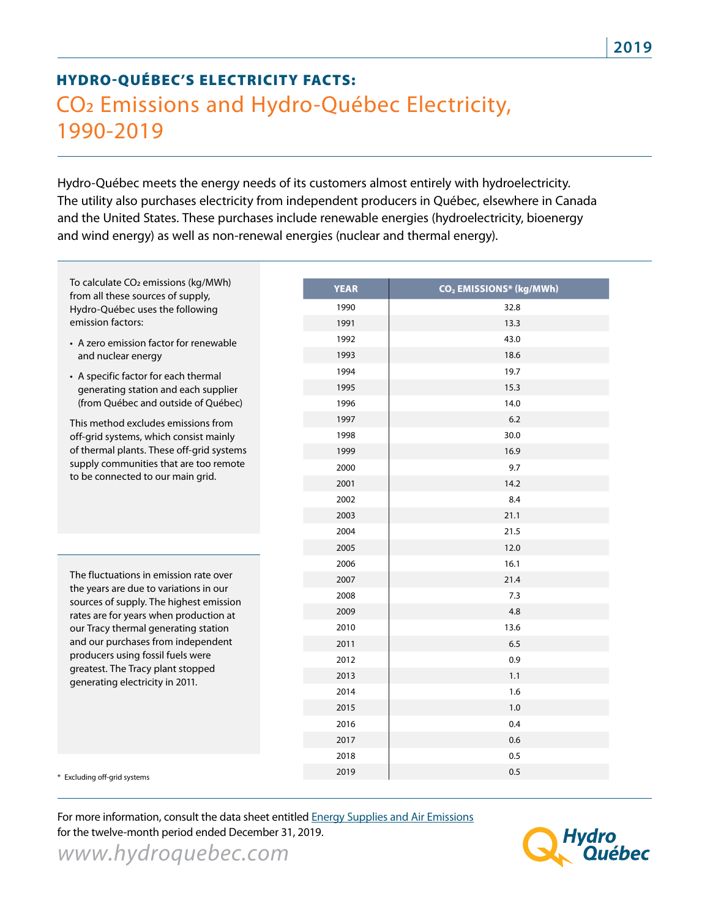## HYDRO-QUÉBEC'S ELECTRICITY FACTS: CO2 Emissions and Hydro-Québec Electricity, 1990-2019

Hydro-Québec meets the energy needs of its customers almost entirely with hydroelectricity. The utility also purchases electricity from independent producers in Québec, elsewhere in Canada and the United States. These purchases include renewable energies (hydroelectricity, bioenergy and wind energy) as well as non-renewal energies (nuclear and thermal energy).

| To calculate CO <sub>2</sub> emissions (kg/MWh)<br>from all these sources of supply,<br>Hydro-Québec uses the following<br>emission factors:                                                                                                                                                                                                                     | <b>YEAR</b> | CO <sub>2</sub> EMISSIONS* (kg/MWh) |
|------------------------------------------------------------------------------------------------------------------------------------------------------------------------------------------------------------------------------------------------------------------------------------------------------------------------------------------------------------------|-------------|-------------------------------------|
|                                                                                                                                                                                                                                                                                                                                                                  | 1990        | 32.8                                |
|                                                                                                                                                                                                                                                                                                                                                                  | 1991        | 13.3                                |
| • A zero emission factor for renewable<br>and nuclear energy                                                                                                                                                                                                                                                                                                     | 1992        | 43.0                                |
|                                                                                                                                                                                                                                                                                                                                                                  | 1993        | 18.6                                |
| • A specific factor for each thermal<br>generating station and each supplier<br>(from Québec and outside of Québec)                                                                                                                                                                                                                                              | 1994        | 19.7                                |
|                                                                                                                                                                                                                                                                                                                                                                  | 1995        | 15.3                                |
|                                                                                                                                                                                                                                                                                                                                                                  | 1996        | 14.0                                |
| This method excludes emissions from<br>off-grid systems, which consist mainly<br>of thermal plants. These off-grid systems<br>supply communities that are too remote<br>to be connected to our main grid.                                                                                                                                                        | 1997        | 6.2                                 |
|                                                                                                                                                                                                                                                                                                                                                                  | 1998        | 30.0                                |
|                                                                                                                                                                                                                                                                                                                                                                  | 1999        | 16.9                                |
|                                                                                                                                                                                                                                                                                                                                                                  | 2000        | 9.7                                 |
|                                                                                                                                                                                                                                                                                                                                                                  | 2001        | 14.2                                |
|                                                                                                                                                                                                                                                                                                                                                                  | 2002        | 8.4                                 |
|                                                                                                                                                                                                                                                                                                                                                                  | 2003        | 21.1                                |
|                                                                                                                                                                                                                                                                                                                                                                  | 2004        | 21.5                                |
|                                                                                                                                                                                                                                                                                                                                                                  | 2005        | 12.0                                |
| The fluctuations in emission rate over<br>the years are due to variations in our<br>sources of supply. The highest emission<br>rates are for years when production at<br>our Tracy thermal generating station<br>and our purchases from independent<br>producers using fossil fuels were<br>greatest. The Tracy plant stopped<br>generating electricity in 2011. | 2006        | 16.1                                |
|                                                                                                                                                                                                                                                                                                                                                                  | 2007        | 21.4                                |
|                                                                                                                                                                                                                                                                                                                                                                  | 2008        | 7.3                                 |
|                                                                                                                                                                                                                                                                                                                                                                  | 2009        | 4.8                                 |
|                                                                                                                                                                                                                                                                                                                                                                  | 2010        | 13.6                                |
|                                                                                                                                                                                                                                                                                                                                                                  | 2011        | 6.5                                 |
|                                                                                                                                                                                                                                                                                                                                                                  | 2012        | 0.9                                 |
|                                                                                                                                                                                                                                                                                                                                                                  | 2013        | 1.1                                 |
|                                                                                                                                                                                                                                                                                                                                                                  | 2014        | 1.6                                 |
|                                                                                                                                                                                                                                                                                                                                                                  | 2015        | 1.0                                 |
|                                                                                                                                                                                                                                                                                                                                                                  | 2016        | 0.4                                 |
|                                                                                                                                                                                                                                                                                                                                                                  | 2017        | 0.6                                 |
|                                                                                                                                                                                                                                                                                                                                                                  | 2018        | 0.5                                 |
| Excluding off-grid systems                                                                                                                                                                                                                                                                                                                                       | 2019        | 0.5                                 |
|                                                                                                                                                                                                                                                                                                                                                                  |             |                                     |

*www.hydroquebec.com* For more information, consult the data sheet entitled Energy Supplies and Air Emissions for the twelve-month period ended December 31, 2019.

Iyaro Québec